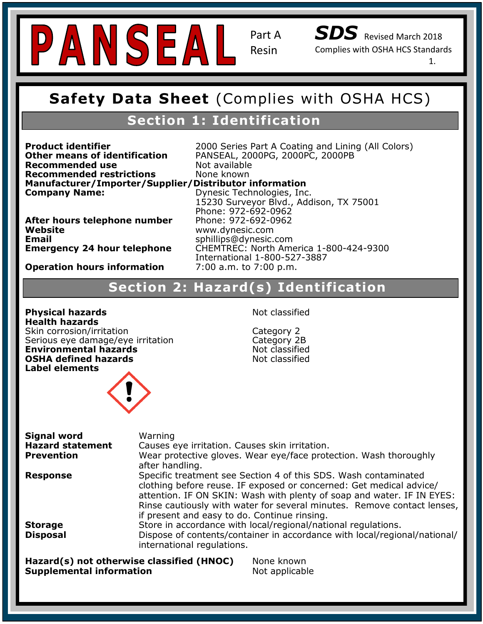

*SDS* Revised March 2018 Complies with OSHA HCS Standards

1.

## **Safety Data Sheet (Complies with OSHA HCS Safety Data Sheet** (Complies with OSHA HCS)

# **Section 1: Identification**

**Recommended use** Not available **Note Khologies, Inc. 15230 Survey Survey Survey Survey Survey Survey Survey Survey Survey Survey Survey Survey**<br>Manufacturer/Importer/Supplier/Distributor information **Company Name: Recommended restrictions** None known

**Product identifier Exercise 2000** Series Part A Coating and Lining (All Colors) **Other means of identification** PANSEAL, 2000PG, 2000PC, 2000PB<br>**Recommended use** Not available

**After hours telephone number** Phone: 972-692-0962<br>Website **Website<br>Email Email** sphillips@dynesic.com<br>**Emergency 24 hour telephone** CHEMTREC: North Ame

**Recommended Use:** Chemical and temperature resistant, UV stabilized, ultra clear coating for indoor and **Hazard Classification: Skin Irritant- Category 2 Operation hours information** 7:00 a.m. to 7:00 p.m. 7:00 a.m. to 7:00 p.m. **Company Name:** Dynesic Technologies, Inc. 15230 Surveyor Blvd., Addison, TX 75001 Phone: 972-692-0962 **Website** www.dynesic.com **Emergency 24 hour telephone** CHEMTREC: North America 1-800-424-9300 International 1-800-527-3887

# **Hazard(s) Identification**<br> **Section 2: Hazard(s) Identification**

**Physical hazards** Not classified **Provironmental hazards**<br> **PRIMA** defined becaude P102: Cid. **Health hazards** Skin corrosion/irritation Category 2 Serious eye damage/eye irritation **OSHA defined hazards Not classified Label elements**



| Warning<br>Causes eye irritation. Causes skin irritation.<br>Wear protective gloves. Wear eye/face protection. Wash thoroughly<br>after handling.                                                                                                                                                                                                                                                                                                                                         |
|-------------------------------------------------------------------------------------------------------------------------------------------------------------------------------------------------------------------------------------------------------------------------------------------------------------------------------------------------------------------------------------------------------------------------------------------------------------------------------------------|
| Specific treatment see Section 4 of this SDS. Wash contaminated<br>clothing before reuse. IF exposed or concerned: Get medical advice/<br>attention. IF ON SKIN: Wash with plenty of soap and water. IF IN EYES:<br>Rinse cautiously with water for several minutes. Remove contact lenses,<br>if present and easy to do. Continue rinsing.<br>Store in accordance with local/regional/national regulations.<br>Dispose of contents/container in accordance with local/regional/national/ |
| international regulations.<br>Hazard(s) not otherwise classified (HNOC)<br>None known<br><b>Supplemental information</b><br>Not applicable                                                                                                                                                                                                                                                                                                                                                |
|                                                                                                                                                                                                                                                                                                                                                                                                                                                                                           |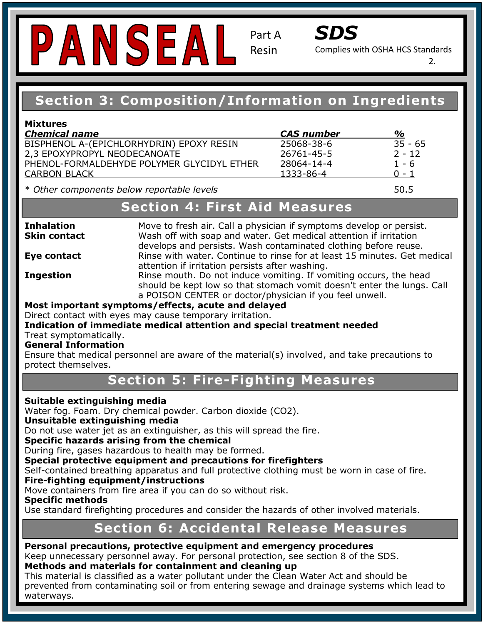# PANSEAL

Part A Resin



Complies with OSHA HCS Standards

2.

# **Section 3: Composition/Information on Ingredients**

| <b>Mixtures</b>                            |                   |           |
|--------------------------------------------|-------------------|-----------|
| <b>Chemical name</b>                       | <b>CAS</b> number | %         |
| BISPHENOL A-(EPICHLORHYDRIN) EPOXY RESIN   | 25068-38-6        | $35 - 65$ |
| 2.3 EPOXYPROPYL NEODECANOATE               | 26761-45-5        | $2 - 12$  |
| PHENOL-FORMALDEHYDE POLYMER GLYCIDYL ETHER | 28064-14-4        | $1 - 6$   |
| <b>CARBON BLACK</b>                        | 1333-86-4         | $0 - 1$   |
|                                            |                   |           |

\* *Other components below reportable levels* **50.5** 

#### **Exercise Continuing Contact:**  $S$ **Recommended Section 4: First Aid Measures**

**Skin contact** 

Inhalation

**Hazard Classification: Science Classification: Science Classification:** a continue to finise for actional attention if irritation persists after washing. Move to fresh air. Call a physician if symptoms develop or persist. Wash off with soap and water. Get medical attention if irritation develops and persists. Wash contaminated clothing before reuse. **Eye contact** Rinse with water. Continue to rinse for at least 15 minutes. Get medical

attention if irritation persists after washing.<br>**Ingestion** Rinse mouth. Do not induce vomiting. If vomiting occurs, the head should be kept low so that stomach vomit doesn't enter the lungs. Call a POISON CENTER or doctor/physician if you feel unwell.

#### **Pictogram: Most important symptoms/effects, acute and delayed**

Direct contact with eyes may cause temporary irritation.

#### **Indication of immediate medical attention and special treatment needed**  Treat symptomatically.

#### **General Information**

Ensure that medical personnel are aware of the material(s) involved, and take precautions to protect themselves.

#### ion 5: Fira-Fi*a* P261: Avoid breathing dust/fume/gas/mist/vapors/spray. **Section 5: Fire-Fighting Measures**

#### P280: Wear Protective gloves/protective clothing/eye and face protection. **Suitable extinguishing media**

Water fog. Foam. Dry chemical powder. Carbon dioxide (CO2).

#### **Unsuitable extinguishing media**

 $\mathbf S$  media of container in accordance with local/regional/regional/national/national/national/national/national/national/national/national/national/national/national/national/national/national/national/national/national Do not use water jet as an extinguisher, as this will spread the fire.

#### **Specific hazards arising from the chemical**

During fire, gases hazardous to health may be formed.

## **Baring inc, gases hazardoas to health hay be formed.**<br>Special protective equipment and precautions for firefighters

Self-contained breathing apparatus and full protective clothing must be worn in case of fire.

#### Instability: 0 **Fire-fighting equipment/instructions**

Move containers from fire area if you can do so without risk.

#### **Specific methods**

j

Use standard firefighting procedures and consider the hazards of other involved materials.

#### **Section 6: Accidental Release Measures** Instability: 0

#### Personal precautions, protective equipment and emergency procedures Keep unnecessary personnel away. For personal protection, see section 8 of the SDS. **Methods and materials for containment and cleaning up**

This material is classified as a water pollutant under the Clean Water Act and should be prevented from contaminating soil or from entering sewage and drainage systems which lead to waterways.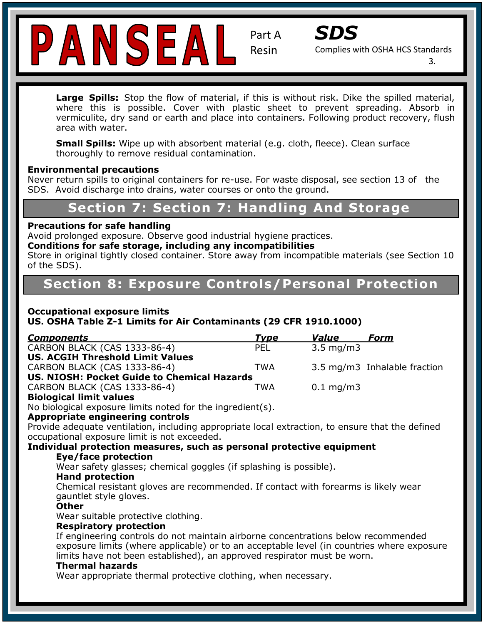



Complies with OSHA HCS Standards

3.

where this is possible. Cover with plastic sheet to prevent spreading. Absorb in<br>warmiquite dry sand as earth and place inte containers Fellowing product recovery flugh **Large Spills:** Stop the flow of material, if this is without risk. Dike the spilled material, vermiculite, dry sand or earth and place into containers. Following product recovery, flush area with water.

**Small Spills:** Wipe up with absorbent material (e.g. cloth, fleece). Clean surface thoroughly to remove residual contamination.

#### **Environmental precautions**

Never return spills to original containers for re-use. For waste disposal, see section 13 of the SDS. Avoid discharge into drains, water courses or onto the ground.

#### **Exercise 7: Contact: Section 7: Section 7: Handling And Storage**

#### **Precautions for safe handling**

Avoid prolonged exposure. Observe good industrial hygiene practices.

#### **Conditions for safe storage, including any incompatibilities**

Store in original tightly closed container. Store away from incompatible materials (see Section 10<br>of the SDS) **Signal Word:** Warning Word: Warning Word: Warning Word: West Word: West Word: West Word: West Word: West Word: W of the SDS).

# **Section 8: Exposure Controls/Personal Protection**

# **Pictogram: Occupational exposure limits**

**US. OSHA Table Z-1 Limits for Air Contaminants (29 CFR 1910.1000)** 

| <b>Type</b> | <i><b>Value</b></i>                         | Form                         |
|-------------|---------------------------------------------|------------------------------|
| <b>PEL</b>  | $3.5 \text{ mg/m}$                          |                              |
|             |                                             |                              |
| TWA         |                                             | 3.5 mg/m3 Inhalable fraction |
|             |                                             |                              |
| TWA         | $0.1 \,\mathrm{mg/m}$                       |                              |
|             | US. NIOSH: Pocket Guide to Chemical Hazards |                              |

#### **Biological limit values**

P280: Wear Protective gloves/protective clothing/eye and face protection. No biological exposure limits noted for the ingredient(s).

#### **Appropriate engineering controls**

Appropriate engineering controis<br>Provide adequate ventilation, including appropriate local extraction, to ensure that the defined and intl. regulations. occupational exposure limit is not exceeded.

### **Individual protection measures, such as personal protective equipment**

#### $Eye/face$  protection

Wear safety glasses; chemical goggles (if splashing is possible).

#### **Hand protection**

Instability: 0 Chemical resistant gloves are recommended. If contact with forearms is likely wear<br>asuntlet style gloves gauntlet style gloves.

#### **Other**

Wear suitable protective clothing.

#### **Respiratory protection**

If engineering controls do not maintain airborne concentrations below recommended exposure limits (where applicable) or to an acceptable level (in countries where exposure limits have not been established), an approved respirator must be worn.

#### **Thermal hazards**

Wear appropriate thermal protective clothing, when necessary.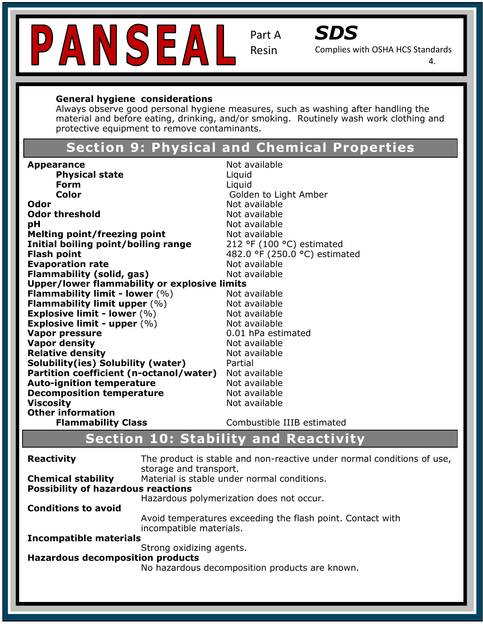



Complies with OSHA HCS Standards

4.

#### **General hygiene considerations**

Always observe good personal hygiene measures, such as washing after handling the material and before eating, drinking, and/or smoking. Routinely wash work clothing and protective equipment to remove contaminants.

# **Section 9: Physical and Chemical Properties**

| <b>Appearance</b>                            | Not available                 |
|----------------------------------------------|-------------------------------|
| <b>Physical state</b>                        | Liquid                        |
| Form                                         | Liquid                        |
| <b>Color</b>                                 | Golden to Light Amber         |
| Odor                                         | Not available                 |
| <b>Odor threshold</b>                        | Not available                 |
| рH                                           | Not available                 |
| <b>Melting point/freezing point</b>          | Not available                 |
| Initial boiling point/boiling range          | 212 °F (100 °C) estimated     |
| <b>Flash point</b>                           | 482.0 °F (250.0 °C) estimated |
| <b>Evaporation rate</b>                      | Not available                 |
| <b>Flammability (solid, gas)</b>             | Not available                 |
| Upper/lower flammability or explosive limits |                               |
| <b>Flammability limit - lower</b> $(\%)$     | Not available                 |
| Flammability limit upper $(\%)$              | Not available                 |
| Explosive limit - lower $(\%)$               | Not available                 |
| Explosive limit - upper $(\%)$               | Not available                 |
| <b>Vapor pressure</b>                        | 0.01 hPa estimated            |
| <b>Vapor density</b>                         | Not available                 |
| <b>Relative density</b>                      | Not available                 |
| Solubility(ies) Solubility (water)           | Partial                       |
| Partition coefficient (n-octanol/water)      | Not available                 |
| <b>Auto-ignition temperature</b>             | Not available                 |
| <b>Decomposition temperature</b>             | Not available                 |
| <b>Viscosity</b>                             | Not available                 |
| <b>Other information</b>                     |                               |
| <b>Flammability Class</b>                    | Combustible IIIB estimated    |

# **Section 10: Stability and Reactivity**

| <b>Reactivity</b>                                                      | The product is stable and non-reactive under normal conditions of use,<br>storage and transport. |
|------------------------------------------------------------------------|--------------------------------------------------------------------------------------------------|
| <b>Chemical stability</b><br><b>Possibility of hazardous reactions</b> | Material is stable under normal conditions.                                                      |
|                                                                        | Hazardous polymerization does not occur.                                                         |
| <b>Conditions to avoid</b>                                             |                                                                                                  |
|                                                                        | Avoid temperatures exceeding the flash point. Contact with<br>incompatible materials.            |
| Incompatible materials                                                 |                                                                                                  |
|                                                                        | Strong oxidizing agents.                                                                         |
| <b>Hazardous decomposition products</b>                                |                                                                                                  |
|                                                                        | No hazardous decomposition products are known.                                                   |
|                                                                        |                                                                                                  |
|                                                                        |                                                                                                  |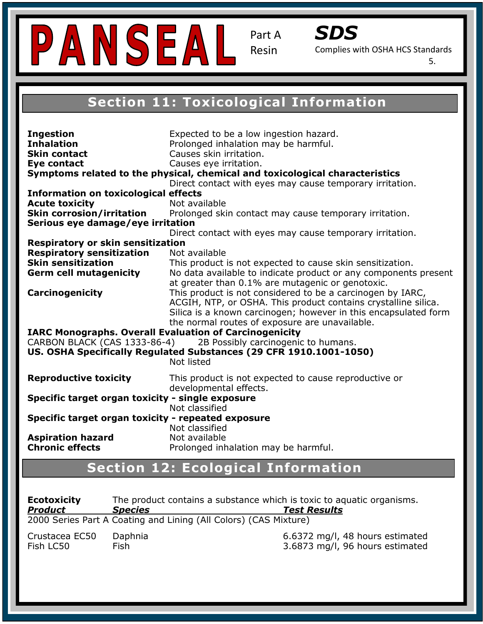



Complies with OSHA HCS Standards

5.

#### **Section 11. TOXICOLOGICAL IMPORTATION Section 11: Toxicological Information**

| <b>Ingestion</b><br><b>Inhalation</b><br><b>Skin contact</b><br>Eye contact<br><b>Information on toxicological effects</b><br><b>Acute toxicity</b><br><b>Skin corrosion/irritation</b> | Expected to be a low ingestion hazard.<br>Prolonged inhalation may be harmful.<br>Causes skin irritation.<br>Causes eye irritation.<br>Symptoms related to the physical, chemical and toxicological characteristics<br>Direct contact with eyes may cause temporary irritation.<br>Not available<br>Prolonged skin contact may cause temporary irritation. |
|-----------------------------------------------------------------------------------------------------------------------------------------------------------------------------------------|------------------------------------------------------------------------------------------------------------------------------------------------------------------------------------------------------------------------------------------------------------------------------------------------------------------------------------------------------------|
| Serious eye damage/eye irritation                                                                                                                                                       |                                                                                                                                                                                                                                                                                                                                                            |
|                                                                                                                                                                                         | Direct contact with eyes may cause temporary irritation.                                                                                                                                                                                                                                                                                                   |
| <b>Respiratory or skin sensitization</b>                                                                                                                                                |                                                                                                                                                                                                                                                                                                                                                            |
| <b>Respiratory sensitization</b><br><b>Skin sensitization</b>                                                                                                                           | Not available<br>This product is not expected to cause skin sensitization.                                                                                                                                                                                                                                                                                 |
| <b>Germ cell mutagenicity</b>                                                                                                                                                           | No data available to indicate product or any components present                                                                                                                                                                                                                                                                                            |
|                                                                                                                                                                                         | at greater than 0.1% are mutagenic or genotoxic.                                                                                                                                                                                                                                                                                                           |
| <b>Carcinogenicity</b>                                                                                                                                                                  | This product is not considered to be a carcinogen by IARC,<br>ACGIH, NTP, or OSHA. This product contains crystalline silica.<br>Silica is a known carcinogen; however in this encapsulated form<br>the normal routes of exposure are unavailable.                                                                                                          |
| <b>IARC Monographs. Overall Evaluation of Carcinogenicity</b>                                                                                                                           |                                                                                                                                                                                                                                                                                                                                                            |
| CARBON BLACK (CAS 1333-86-4)                                                                                                                                                            | 2B Possibly carcinogenic to humans.                                                                                                                                                                                                                                                                                                                        |
|                                                                                                                                                                                         | US. OSHA Specifically Regulated Substances (29 CFR 1910.1001-1050)<br>Not listed                                                                                                                                                                                                                                                                           |
| <b>Reproductive toxicity</b>                                                                                                                                                            | This product is not expected to cause reproductive or<br>developmental effects.                                                                                                                                                                                                                                                                            |
| Specific target organ toxicity - single exposure                                                                                                                                        | Not classified                                                                                                                                                                                                                                                                                                                                             |
| Specific target organ toxicity - repeated exposure                                                                                                                                      |                                                                                                                                                                                                                                                                                                                                                            |
|                                                                                                                                                                                         | Not classified                                                                                                                                                                                                                                                                                                                                             |
| <b>Aspiration hazard</b>                                                                                                                                                                | Not available                                                                                                                                                                                                                                                                                                                                              |
| <b>Chronic effects</b>                                                                                                                                                                  | Prolonged inhalation may be harmful.                                                                                                                                                                                                                                                                                                                       |

# **Section 12: Ecological Information**

Instability: 0

 $\overline{a}$ 

Specific Hazard: N/A **HOUUCL SPECIES**<br>2000 Ceries Part A Centing and Lining (All Celev 2000 Series Part A Coating and Lining (All Colors) (CAS Mixture) **Ecotoxicity** The product contains a substance which is toxic to aquatic organisms. *Product Species Test Results* 

| Crustacea EC50 | Daphnia | 6.6372 mg/l, 48 hours estimated |
|----------------|---------|---------------------------------|
| Fish LC50      | Fish    | 3.6873 mg/l, 96 hours estimated |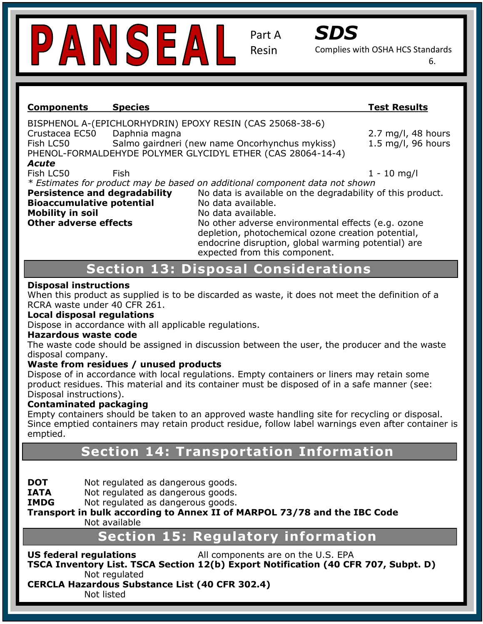



Complies with OSHA HCS Standards

6.

#### **Safety Data Sheet (Complies with OSHA HCS Components Species Test Results**

**Section 1: Identification** Fish LC50 Salmo gairdneri (new name Oncorhynchus mykiss) 1.5 mg/l, 96 hours BISPHENOL A-(EPICHLORHYDRIN) EPOXY RESIN (CAS 25068-38-6) Crustacea EC50 Daphnia magna 2.7 mg/l, 48 hours PHENOL-FORMALDEHYDE POLYMER GLYCIDYL ETHER (CAS 28064-14-4)

#### *Acute*

Fish LC50 Fish

 $1 - 10$  mg/l

**Profit Lesso**<br>\* Estimates for product may be based on additional component data not shown

Persistence and degradability **Bioaccumulative potential Mo data available. Mobility in soil and temperature resistant, UV stabilized, under the induced stabilized, under the induced stabilized, under the induced, under the induced, under the induced stabilized of the induced stabilized of the in** Other adverse effects

No data is available on the degradability of this product.

No other adverse environmental effects (e.g. ozone depletion, photochemical ozone creation potential, endocrine disruption, global warming potential) are expected from this component.

#### **Hazard Classification: Skin Irritant- Category 2 Section 13: Disposal Considerations**

#### **Facture May cause an allegies and allergic skin reactions in the cause of the cause of the cause of the cause of the cause of the cause of the cause of the cause of the cause of the cause of the cause of the cause of the**

**Pictogram:** RCRA waste under 40 CFR 261. When this product as supplied is to be discarded as waste, it does not meet the definition of a

#### **Local disposal regulations**

Dispose in accordance with all applicable regulations.

#### **Hazardous waste code**

**Precaution Statements: If the education of the education of the product container or label and . If it is needed, handled, have product container or label at hand.** The waste code should be assigned in discussion between the user, the producer and the waste

#### Waste from residues / unused products

Dispose of in accordance with local regulations. Empty containers or liners may retain some product residues. This material and its container must be disposed of in a safe manner (see: P280: Wear Protective gloves/protective clothing/eye and face protection. Disposal instructions).

#### **Contaminated packaging**

**Contammated packaying**<br>Empty containers should be taken to an approved waste handling site for recycling or disposal. Since emptied containers may retain product residue, follow label warnings even after container is emptied.

# **NFPA Ration 14: Transportation Information**

**DOT** Not regulated as dangerous goods.

**IATA** Not regulated as dangerous goods.

**IMDG** Not regulated as dangerous goods.

**Transport in bulk according to Annex II of MARPOL 73/78 and the IBC Code** Flammability: 1 Not available

# **Section 15: Regulatory information**

**US federal regulations** The All components are on the U.S. EPA **TSCA Inventory List. TSCA Section 12(b) Export Notification (40 CFR 707, Subpt. D)**  Not regulated

**CERCLA Hazardous Substance List (40 CFR 302.4)** 

Not listed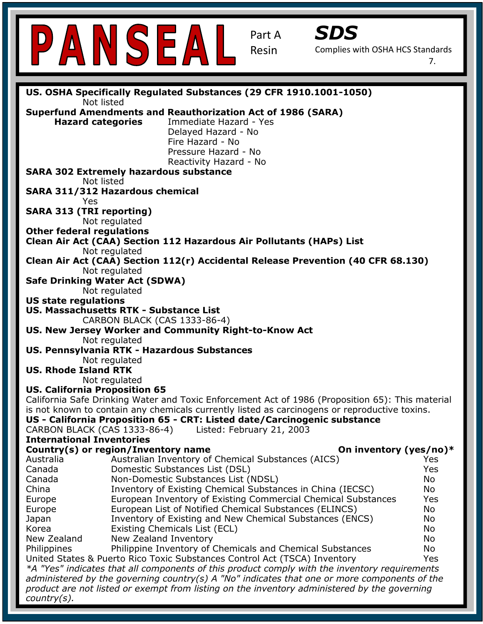| SDS<br>PANSEAL<br>Part A<br><b>Resin</b><br>Complies with OSHA HCS Standards<br>7.               |
|--------------------------------------------------------------------------------------------------|
|                                                                                                  |
| US. OSHA Specifically Regulated Substances (29 CFR 1910.1001-1050)                               |
| Not listed                                                                                       |
| <b>Superfund Amendments and Reauthorization Act of 1986 (SARA)</b>                               |
| <b>Hazard categories</b><br>Immediate Hazard - Yes                                               |
| Delayed Hazard - No                                                                              |
| Fire Hazard - No                                                                                 |
| Pressure Hazard - No                                                                             |
| Reactivity Hazard - No                                                                           |
| <b>SARA 302 Extremely hazardous substance</b>                                                    |
| Not listed                                                                                       |
| <b>SARA 311/312 Hazardous chemical</b>                                                           |
| Yes                                                                                              |
| <b>SARA 313 (TRI reporting)</b>                                                                  |
| Not regulated                                                                                    |
| <b>Other federal regulations</b>                                                                 |
| Clean Air Act (CAA) Section 112 Hazardous Air Pollutants (HAPs) List                             |
| Not regulated                                                                                    |
| Clean Air Act (CAA) Section 112(r) Accidental Release Prevention (40 CFR 68.130)                 |
| Not regulated                                                                                    |
| <b>Safe Drinking Water Act (SDWA)</b>                                                            |
| Not regulated                                                                                    |
| <b>US state regulations</b>                                                                      |
| <b>US. Massachusetts RTK - Substance List</b>                                                    |
| CARBON BLACK (CAS 1333-86-4)                                                                     |
| US. New Jersey Worker and Community Right-to-Know Act                                            |
| Not regulated                                                                                    |
| US. Pennsylvania RTK - Hazardous Substances                                                      |
| Not regulated                                                                                    |
| <b>US. Rhode Island RTK</b>                                                                      |
| Not regulated                                                                                    |
| <b>US. California Proposition 65</b>                                                             |
| California Safe Drinking Water and Toxic Enforcement Act of 1986 (Proposition 65): This material |
| is not known to contain any chemicals currently listed as carcinogens or reproductive toxins.    |
| US - California Proposition 65 - CRT: Listed date/Carcinogenic substance                         |
| CARBON BLACK (CAS 1333-86-4)<br>Listed: February 21, 2003<br><b>International Inventories</b>    |
| Country(s) or region/Inventory name<br>On inventory (yes/no)*                                    |
| Australian Inventory of Chemical Substances (AICS)<br>Australia<br>Yes                           |
| Canada<br>Domestic Substances List (DSL)<br>Yes                                                  |
| Non-Domestic Substances List (NDSL)<br>Canada<br>No                                              |
| Inventory of Existing Chemical Substances in China (IECSC)<br>China<br>No                        |
| European Inventory of Existing Commercial Chemical Substances<br>Yes<br>Europe                   |
| European List of Notified Chemical Substances (ELINCS)<br>No<br>Europe                           |
| Inventory of Existing and New Chemical Substances (ENCS)<br>No<br>Japan                          |
| Existing Chemicals List (ECL)<br>Korea<br>No                                                     |
| New Zealand<br>New Zealand Inventory<br>No                                                       |
| Philippine Inventory of Chemicals and Chemical Substances<br>No<br>Philippines                   |
| United States & Puerto Rico Toxic Substances Control Act (TSCA) Inventory<br>Yes                 |
| *A "Yes" indicates that all components of this product comply with the inventory requirements    |
| administered by the governing country(s) A "No" indicates that one or more components of the     |
|                                                                                                  |
| product are not listed or exempt from listing on the inventory administered by the governing     |

ī